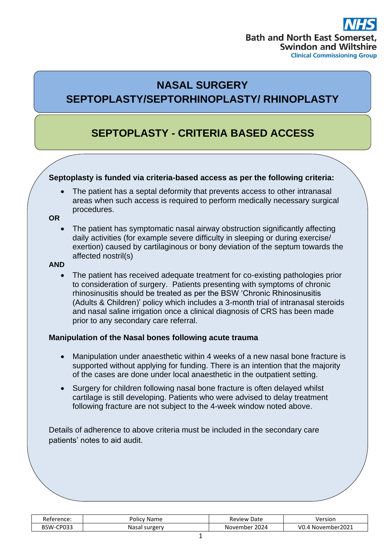# **Bath and North East Somer Swindon and Wiltshire Clinical Commissioning Group**

## **NASAL SURGERY SEPTOPLASTY/SEPTORHINOPLASTY/ RHINOPLASTY**

## **SEPTOPLASTY - CRITERIA BASED ACCESS**

## **Septoplasty is funded via criteria-based access as per the following criteria:**

The patient has a septal deformity that prevents access to other intranasal areas when such access is required to perform medically necessary surgical procedures.

#### **OR**

• The patient has symptomatic nasal airway obstruction significantly affecting daily activities (for example severe difficulty in sleeping or during exercise/ exertion) caused by cartilaginous or bony deviation of the septum towards the affected nostril(s)

#### **AND**

• The patient has received adequate treatment for co-existing pathologies prior to consideration of surgery. Patients presenting with symptoms of chronic rhinosinusitis should be treated as per the BSW 'Chronic Rhinosinusitis (Adults & Children)' policy which includes a 3-month trial of intranasal steroids and nasal saline irrigation once a clinical diagnosis of CRS has been made prior to any secondary care referral.

## **Manipulation of the Nasal bones following acute trauma**

- Manipulation under anaesthetic within 4 weeks of a new nasal bone fracture is supported without applying for funding. There is an intention that the majority of the cases are done under local anaesthetic in the outpatient setting.
- Surgery for children following nasal bone fracture is often delayed whilst cartilage is still developing. Patients who were advised to delay treatment following fracture are not subject to the 4-week window noted above.

Details of adherence to above criteria must be included in the secondary care patients' notes to aid audit.

| Reference:    | Name<br>POIICV   | Review<br>Date   | Versior                    |
|---------------|------------------|------------------|----------------------------|
| CP033<br>PSW- | surgery<br>Nasal | 2024<br>November | r2021<br>VO.<br>. November |